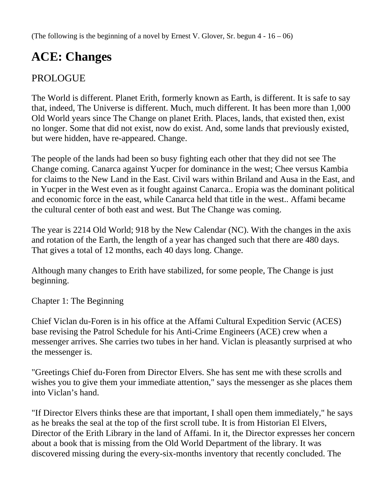(The following is the beginning of a novel by Ernest V. Glover, Sr. begun  $4 - 16 - 06$ )

## **ACE: Changes**

## PROLOGUE

The World is different. Planet Erith, formerly known as Earth, is different. It is safe to say that, indeed, The Universe is different. Much, much different. It has been more than 1,000 Old World years since The Change on planet Erith. Places, lands, that existed then, exist no longer. Some that did not exist, now do exist. And, some lands that previously existed, but were hidden, have re-appeared. Change.

The people of the lands had been so busy fighting each other that they did not see The Change coming. Canarca against Yucper for dominance in the west; Chee versus Kambia for claims to the New Land in the East. Civil wars within Briland and Ausa in the East, and in Yucper in the West even as it fought against Canarca.. Eropia was the dominant political and economic force in the east, while Canarca held that title in the west.. Affami became the cultural center of both east and west. But The Change was coming.

The year is 2214 Old World; 918 by the New Calendar (NC). With the changes in the axis and rotation of the Earth, the length of a year has changed such that there are 480 days. That gives a total of 12 months, each 40 days long. Change.

Although many changes to Erith have stabilized, for some people, The Change is just beginning.

Chapter 1: The Beginning

Chief Viclan du-Foren is in his office at the Affami Cultural Expedition Servic (ACES) base revising the Patrol Schedule for his Anti-Crime Engineers (ACE) crew when a messenger arrives. She carries two tubes in her hand. Viclan is pleasantly surprised at who the messenger is.

"Greetings Chief du-Foren from Director Elvers. She has sent me with these scrolls and wishes you to give them your immediate attention," says the messenger as she places them into Viclan's hand.

"If Director Elvers thinks these are that important, I shall open them immediately," he says as he breaks the seal at the top of the first scroll tube. It is from Historian El Elvers, Director of the Erith Library in the land of Affami. In it, the Director expresses her concern about a book that is missing from the Old World Department of the library. It was discovered missing during the every-six-months inventory that recently concluded. The